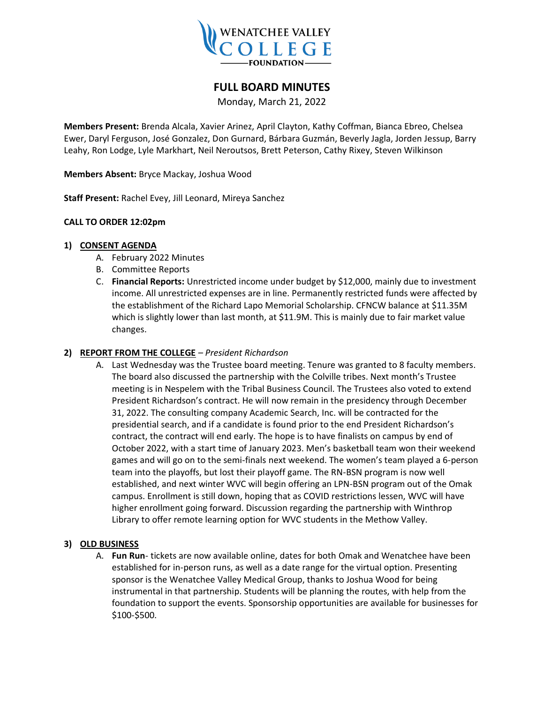

# **FULL BOARD MINUTES**

Monday, March 21, 2022

**Members Present:** Brenda Alcala, Xavier Arinez, April Clayton, Kathy Coffman, Bianca Ebreo, Chelsea Ewer, Daryl Ferguson, José Gonzalez, Don Gurnard, Bárbara Guzmán, Beverly Jagla, Jorden Jessup, Barry Leahy, Ron Lodge, Lyle Markhart, Neil Neroutsos, Brett Peterson, Cathy Rixey, Steven Wilkinson

**Members Absent:** Bryce Mackay, Joshua Wood

**Staff Present:** Rachel Evey, Jill Leonard, Mireya Sanchez

## **CALL TO ORDER 12:02pm**

#### **1) CONSENT AGENDA**

- A. February 2022 Minutes
- B. Committee Reports
- C. **Financial Reports:** Unrestricted income under budget by \$12,000, mainly due to investment income. All unrestricted expenses are in line. Permanently restricted funds were affected by the establishment of the Richard Lapo Memorial Scholarship. CFNCW balance at \$11.35M which is slightly lower than last month, at \$11.9M. This is mainly due to fair market value changes.

#### **2) REPORT FROM THE COLLEGE** *– President Richardson*

A. Last Wednesday was the Trustee board meeting. Tenure was granted to 8 faculty members. The board also discussed the partnership with the Colville tribes. Next month's Trustee meeting is in Nespelem with the Tribal Business Council. The Trustees also voted to extend President Richardson's contract. He will now remain in the presidency through December 31, 2022. The consulting company Academic Search, Inc. will be contracted for the presidential search, and if a candidate is found prior to the end President Richardson's contract, the contract will end early. The hope is to have finalists on campus by end of October 2022, with a start time of January 2023. Men's basketball team won their weekend games and will go on to the semi-finals next weekend. The women's team played a 6-person team into the playoffs, but lost their playoff game. The RN-BSN program is now well established, and next winter WVC will begin offering an LPN-BSN program out of the Omak campus. Enrollment is still down, hoping that as COVID restrictions lessen, WVC will have higher enrollment going forward. Discussion regarding the partnership with Winthrop Library to offer remote learning option for WVC students in the Methow Valley.

## **3) OLD BUSINESS**

A. **Fun Run**- tickets are now available online, dates for both Omak and Wenatchee have been established for in-person runs, as well as a date range for the virtual option. Presenting sponsor is the Wenatchee Valley Medical Group, thanks to Joshua Wood for being instrumental in that partnership. Students will be planning the routes, with help from the foundation to support the events. Sponsorship opportunities are available for businesses for \$100-\$500.